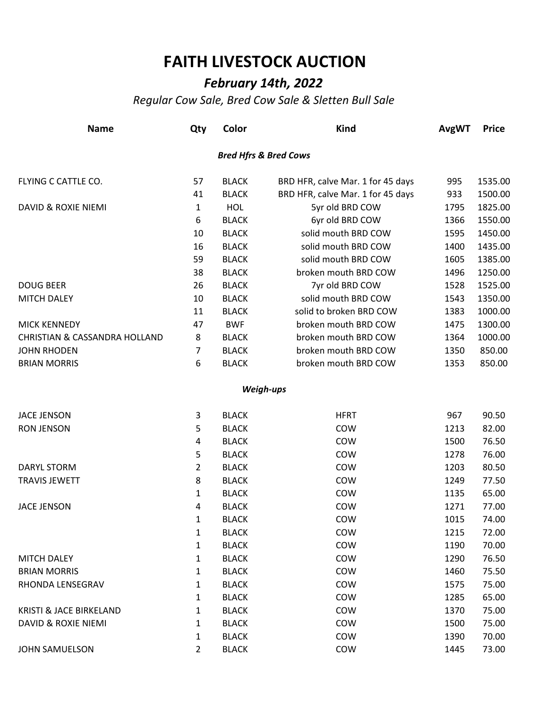## **FAITH LIVESTOCK AUCTION**

## *February 14th, 2022*

*Regular Cow Sale, Bred Cow Sale & Sletten Bull Sale*

| <b>Name</b>                              | Qty            | Color        | <b>Kind</b>                       | <b>AvgWT</b> | <b>Price</b> |
|------------------------------------------|----------------|--------------|-----------------------------------|--------------|--------------|
|                                          |                |              | <b>Bred Hfrs &amp; Bred Cows</b>  |              |              |
| FLYING C CATTLE CO.                      | 57             | <b>BLACK</b> | BRD HFR, calve Mar. 1 for 45 days | 995          | 1535.00      |
|                                          | 41             | <b>BLACK</b> | BRD HFR, calve Mar. 1 for 45 days | 933          | 1500.00      |
| DAVID & ROXIE NIEMI                      | $\mathbf{1}$   | <b>HOL</b>   | 5yr old BRD COW                   | 1795         | 1825.00      |
|                                          | 6              | <b>BLACK</b> | 6yr old BRD COW                   | 1366         | 1550.00      |
|                                          | 10             | <b>BLACK</b> | solid mouth BRD COW               | 1595         | 1450.00      |
|                                          | 16             | <b>BLACK</b> | solid mouth BRD COW               | 1400         | 1435.00      |
|                                          | 59             | <b>BLACK</b> | solid mouth BRD COW               | 1605         | 1385.00      |
|                                          | 38             | <b>BLACK</b> | broken mouth BRD COW              | 1496         | 1250.00      |
| <b>DOUG BEER</b>                         | 26             | <b>BLACK</b> | 7yr old BRD COW                   | 1528         | 1525.00      |
| <b>MITCH DALEY</b>                       | 10             | <b>BLACK</b> | solid mouth BRD COW               | 1543         | 1350.00      |
|                                          | 11             | <b>BLACK</b> | solid to broken BRD COW           | 1383         | 1000.00      |
| <b>MICK KENNEDY</b>                      | 47             | <b>BWF</b>   | broken mouth BRD COW              | 1475         | 1300.00      |
| <b>CHRISTIAN &amp; CASSANDRA HOLLAND</b> | 8              | <b>BLACK</b> | broken mouth BRD COW              | 1364         | 1000.00      |
| <b>JOHN RHODEN</b>                       | 7              | <b>BLACK</b> | broken mouth BRD COW              | 1350         | 850.00       |
| <b>BRIAN MORRIS</b>                      | 6              | <b>BLACK</b> | broken mouth BRD COW              | 1353         | 850.00       |
|                                          |                |              | Weigh-ups                         |              |              |
| <b>JACE JENSON</b>                       | 3              | <b>BLACK</b> | <b>HFRT</b>                       | 967          | 90.50        |
| <b>RON JENSON</b>                        | 5              | <b>BLACK</b> | COW                               | 1213         | 82.00        |
|                                          | 4              | <b>BLACK</b> | COW                               | 1500         | 76.50        |
|                                          | 5              | <b>BLACK</b> | COW                               | 1278         | 76.00        |
| DARYL STORM                              | $\overline{2}$ | <b>BLACK</b> | COW                               | 1203         | 80.50        |
| <b>TRAVIS JEWETT</b>                     | 8              | <b>BLACK</b> | COW                               | 1249         | 77.50        |
|                                          | $\mathbf{1}$   | <b>BLACK</b> | COW                               | 1135         | 65.00        |
| <b>JACE JENSON</b>                       | 4              | <b>BLACK</b> | COW                               | 1271         | 77.00        |
|                                          | 1              | <b>BLACK</b> | COW                               | 1015         | 74.00        |
|                                          | 1              | <b>BLACK</b> | COW                               | 1215         | 72.00        |
|                                          | 1              | <b>BLACK</b> | COW                               | 1190         | 70.00        |
| <b>MITCH DALEY</b>                       | 1              | <b>BLACK</b> | COW                               | 1290         | 76.50        |
| <b>BRIAN MORRIS</b>                      | 1              | <b>BLACK</b> | COW                               | 1460         | 75.50        |
| RHONDA LENSEGRAV                         | 1              | <b>BLACK</b> | COW                               | 1575         | 75.00        |
|                                          | 1              | <b>BLACK</b> | COW                               | 1285         | 65.00        |
| <b>KRISTI &amp; JACE BIRKELAND</b>       | 1              | <b>BLACK</b> | COW                               | 1370         | 75.00        |
| <b>DAVID &amp; ROXIE NIEMI</b>           | 1              | <b>BLACK</b> | COW                               | 1500         | 75.00        |
|                                          | 1              | <b>BLACK</b> | COW                               | 1390         | 70.00        |
| <b>JOHN SAMUELSON</b>                    | 2              | <b>BLACK</b> | COW                               | 1445         | 73.00        |